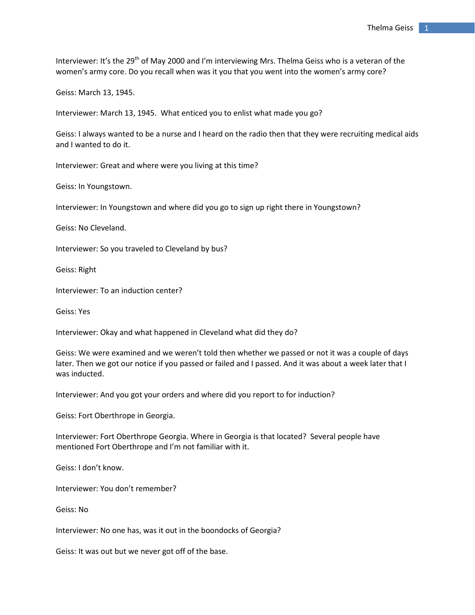Interviewer: It's the 29<sup>th</sup> of May 2000 and I'm interviewing Mrs. Thelma Geiss who is a veteran of the women's army core. Do you recall when was it you that you went into the women's army core?

Geiss: March 13, 1945.

Interviewer: March 13, 1945. What enticed you to enlist what made you go?

Geiss: I always wanted to be a nurse and I heard on the radio then that they were recruiting medical aids and I wanted to do it.

Interviewer: Great and where were you living at this time?

Geiss: In Youngstown.

Interviewer: In Youngstown and where did you go to sign up right there in Youngstown?

Geiss: No Cleveland.

Interviewer: So you traveled to Cleveland by bus?

Geiss: Right

Interviewer: To an induction center?

Geiss: Yes

Interviewer: Okay and what happened in Cleveland what did they do?

Geiss: We were examined and we weren't told then whether we passed or not it was a couple of days later. Then we got our notice if you passed or failed and I passed. And it was about a week later that I was inducted.

Interviewer: And you got your orders and where did you report to for induction?

Geiss: Fort Oberthrope in Georgia.

Interviewer: Fort Oberthrope Georgia. Where in Georgia is that located? Several people have mentioned Fort Oberthrope and I'm not familiar with it.

Geiss: I don't know.

Interviewer: You don't remember?

Geiss: No

Interviewer: No one has, was it out in the boondocks of Georgia?

Geiss: It was out but we never got off of the base.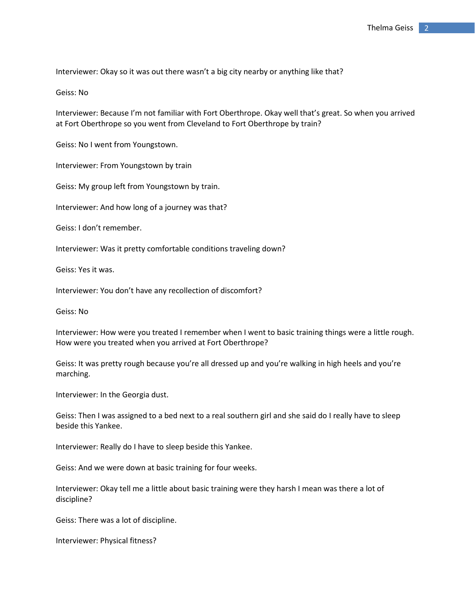Interviewer: Okay so it was out there wasn't a big city nearby or anything like that?

Geiss: No

Interviewer: Because I'm not familiar with Fort Oberthrope. Okay well that's great. So when you arrived at Fort Oberthrope so you went from Cleveland to Fort Oberthrope by train?

Geiss: No I went from Youngstown.

Interviewer: From Youngstown by train

Geiss: My group left from Youngstown by train.

Interviewer: And how long of a journey was that?

Geiss: I don't remember.

Interviewer: Was it pretty comfortable conditions traveling down?

Geiss: Yes it was.

Interviewer: You don't have any recollection of discomfort?

Geiss: No

Interviewer: How were you treated I remember when I went to basic training things were a little rough. How were you treated when you arrived at Fort Oberthrope?

Geiss: It was pretty rough because you're all dressed up and you're walking in high heels and you're marching.

Interviewer: In the Georgia dust.

Geiss: Then I was assigned to a bed next to a real southern girl and she said do I really have to sleep beside this Yankee.

Interviewer: Really do I have to sleep beside this Yankee.

Geiss: And we were down at basic training for four weeks.

Interviewer: Okay tell me a little about basic training were they harsh I mean was there a lot of discipline?

Geiss: There was a lot of discipline.

Interviewer: Physical fitness?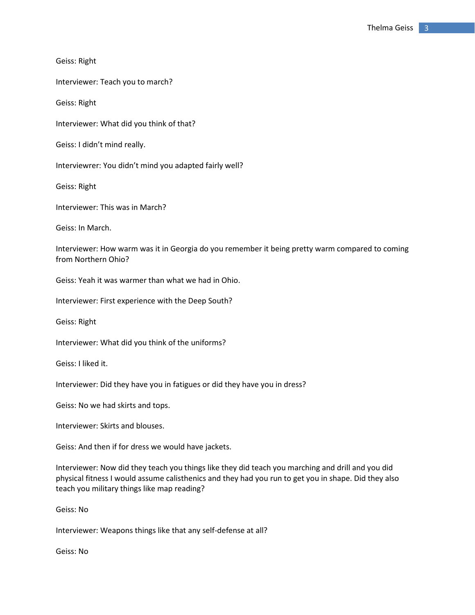Geiss: Right Interviewer: Teach you to march? Geiss: Right Interviewer: What did you think of that? Geiss: I didn't mind really. Interviewrer: You didn't mind you adapted fairly well? Geiss: Right Interviewer: This was in March? Geiss: In March. Interviewer: How warm was it in Georgia do you remember it being pretty warm compared to coming from Northern Ohio? Geiss: Yeah it was warmer than what we had in Ohio. Interviewer: First experience with the Deep South? Geiss: Right Interviewer: What did you think of the uniforms? Geiss: I liked it. Interviewer: Did they have you in fatigues or did they have you in dress? Geiss: No we had skirts and tops. Interviewer: Skirts and blouses. Geiss: And then if for dress we would have jackets. Interviewer: Now did they teach you things like they did teach you marching and drill and you did physical fitness I would assume calisthenics and they had you run to get you in shape. Did they also teach you military things like map reading?

Geiss: No

Interviewer: Weapons things like that any self-defense at all?

Geiss: No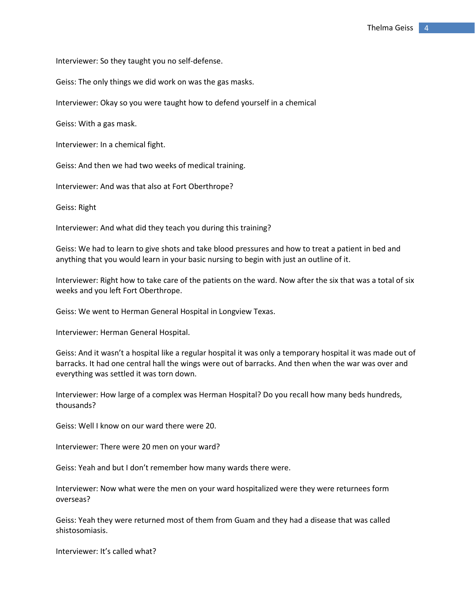Interviewer: So they taught you no self-defense.

Geiss: The only things we did work on was the gas masks.

Interviewer: Okay so you were taught how to defend yourself in a chemical

Geiss: With a gas mask.

Interviewer: In a chemical fight.

Geiss: And then we had two weeks of medical training.

Interviewer: And was that also at Fort Oberthrope?

Geiss: Right

Interviewer: And what did they teach you during this training?

Geiss: We had to learn to give shots and take blood pressures and how to treat a patient in bed and anything that you would learn in your basic nursing to begin with just an outline of it.

Interviewer: Right how to take care of the patients on the ward. Now after the six that was a total of six weeks and you left Fort Oberthrope.

Geiss: We went to Herman General Hospital in Longview Texas.

Interviewer: Herman General Hospital.

Geiss: And it wasn't a hospital like a regular hospital it was only a temporary hospital it was made out of barracks. It had one central hall the wings were out of barracks. And then when the war was over and everything was settled it was torn down.

Geiss: Well I know on our ward there were 20.

Interviewer: There were 20 men on your ward?

Geiss: Yeah and but I don't remember how many wards there were.

Interviewer: Now what were the men on your ward hospitalized were they were returnees form overseas?

Geiss: Yeah they were returned most of them from Guam and they had a disease that was called shistosomiasis.

Interviewer: It's called what?

Interviewer: How large of a complex was Herman Hospital? Do you recall how many beds hundreds, thousands?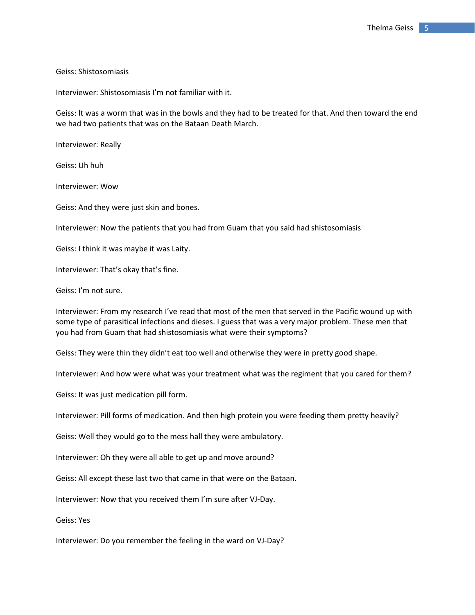Geiss: Shistosomiasis

Interviewer: Shistosomiasis I'm not familiar with it.

Geiss: It was a worm that was in the bowls and they had to be treated for that. And then toward the end we had two patients that was on the Bataan Death March.

Interviewer: Really

Geiss: Uh huh

Interviewer: Wow

Geiss: And they were just skin and bones.

Interviewer: Now the patients that you had from Guam that you said had shistosomiasis

Geiss: I think it was maybe it was Laity.

Interviewer: That's okay that's fine.

Geiss: I'm not sure.

Interviewer: From my research I've read that most of the men that served in the Pacific wound up with some type of parasitical infections and dieses. I guess that was a very major problem. These men that you had from Guam that had shistosomiasis what were their symptoms?

Geiss: They were thin they didn't eat too well and otherwise they were in pretty good shape.

Interviewer: And how were what was your treatment what was the regiment that you cared for them?

Geiss: It was just medication pill form.

Interviewer: Pill forms of medication. And then high protein you were feeding them pretty heavily?

Geiss: Well they would go to the mess hall they were ambulatory.

Interviewer: Oh they were all able to get up and move around?

Geiss: All except these last two that came in that were on the Bataan.

Interviewer: Now that you received them I'm sure after VJ-Day.

Geiss: Yes

Interviewer: Do you remember the feeling in the ward on VJ-Day?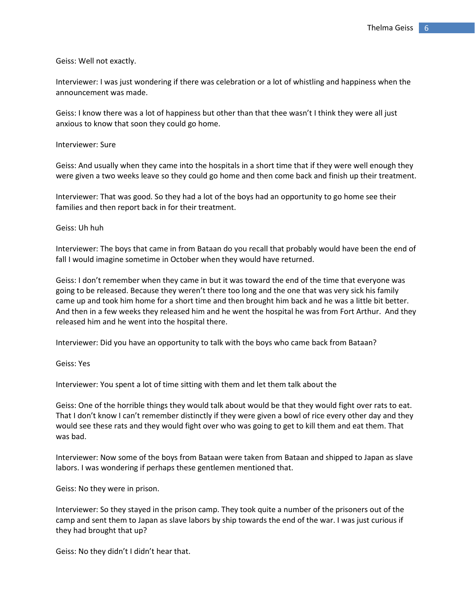Geiss: Well not exactly.

Interviewer: I was just wondering if there was celebration or a lot of whistling and happiness when the announcement was made.

Geiss: I know there was a lot of happiness but other than that thee wasn't I think they were all just anxious to know that soon they could go home.

Interviewer: Sure

Geiss: And usually when they came into the hospitals in a short time that if they were well enough they were given a two weeks leave so they could go home and then come back and finish up their treatment.

Interviewer: That was good. So they had a lot of the boys had an opportunity to go home see their families and then report back in for their treatment.

Geiss: Uh huh

Interviewer: The boys that came in from Bataan do you recall that probably would have been the end of fall I would imagine sometime in October when they would have returned.

Geiss: I don't remember when they came in but it was toward the end of the time that everyone was going to be released. Because they weren't there too long and the one that was very sick his family came up and took him home for a short time and then brought him back and he was a little bit better. And then in a few weeks they released him and he went the hospital he was from Fort Arthur. And they released him and he went into the hospital there.

Interviewer: Did you have an opportunity to talk with the boys who came back from Bataan?

Geiss: Yes

Interviewer: You spent a lot of time sitting with them and let them talk about the

Geiss: One of the horrible things they would talk about would be that they would fight over rats to eat. That I don't know I can't remember distinctly if they were given a bowl of rice every other day and they would see these rats and they would fight over who was going to get to kill them and eat them. That was bad.

Interviewer: Now some of the boys from Bataan were taken from Bataan and shipped to Japan as slave labors. I was wondering if perhaps these gentlemen mentioned that.

Geiss: No they were in prison.

Interviewer: So they stayed in the prison camp. They took quite a number of the prisoners out of the camp and sent them to Japan as slave labors by ship towards the end of the war. I was just curious if they had brought that up?

Geiss: No they didn't I didn't hear that.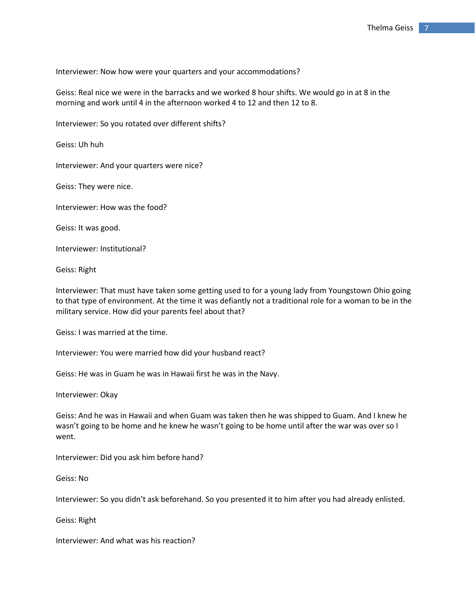Interviewer: Now how were your quarters and your accommodations?

Geiss: Real nice we were in the barracks and we worked 8 hour shifts. We would go in at 8 in the morning and work until 4 in the afternoon worked 4 to 12 and then 12 to 8.

Interviewer: So you rotated over different shifts?

Geiss: Uh huh

Interviewer: And your quarters were nice?

Geiss: They were nice.

Interviewer: How was the food?

Geiss: It was good.

Interviewer: Institutional?

Geiss: Right

Interviewer: That must have taken some getting used to for a young lady from Youngstown Ohio going to that type of environment. At the time it was defiantly not a traditional role for a woman to be in the military service. How did your parents feel about that?

Geiss: I was married at the time.

Interviewer: You were married how did your husband react?

Geiss: He was in Guam he was in Hawaii first he was in the Navy.

Interviewer: Okay

Geiss: And he was in Hawaii and when Guam was taken then he was shipped to Guam. And I knew he wasn't going to be home and he knew he wasn't going to be home until after the war was over so I went.

Interviewer: Did you ask him before hand?

Geiss: No

Interviewer: So you didn't ask beforehand. So you presented it to him after you had already enlisted.

Geiss: Right

Interviewer: And what was his reaction?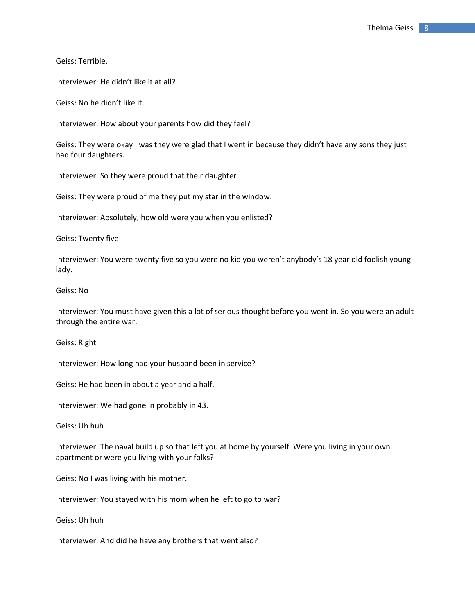Geiss: Terrible.

Interviewer: He didn't like it at all?

Geiss: No he didn't like it.

Interviewer: How about your parents how did they feel?

Geiss: They were okay I was they were glad that I went in because they didn't have any sons they just had four daughters.

Interviewer: So they were proud that their daughter

Geiss: They were proud of me they put my star in the window.

Interviewer: Absolutely, how old were you when you enlisted?

Geiss: Twenty five

Interviewer: You were twenty five so you were no kid you weren't anybody's 18 year old foolish young lady.

Geiss: No

Interviewer: You must have given this a lot of serious thought before you went in. So you were an adult through the entire war.

Geiss: Right

Interviewer: How long had your husband been in service?

Geiss: He had been in about a year and a half.

Interviewer: We had gone in probably in 43.

Geiss: Uh huh

Interviewer: The naval build up so that left you at home by yourself. Were you living in your own apartment or were you living with your folks?

Geiss: No I was living with his mother.

Interviewer: You stayed with his mom when he left to go to war?

Geiss: Uh huh

Interviewer: And did he have any brothers that went also?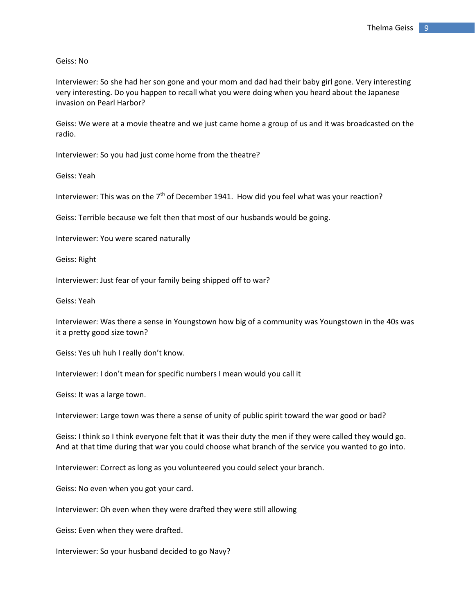Geiss: No

Interviewer: So she had her son gone and your mom and dad had their baby girl gone. Very interesting very interesting. Do you happen to recall what you were doing when you heard about the Japanese invasion on Pearl Harbor?

Geiss: We were at a movie theatre and we just came home a group of us and it was broadcasted on the radio.

Interviewer: So you had just come home from the theatre?

Geiss: Yeah

Interviewer: This was on the  $7<sup>th</sup>$  of December 1941. How did you feel what was your reaction?

Geiss: Terrible because we felt then that most of our husbands would be going.

Interviewer: You were scared naturally

Geiss: Right

Interviewer: Just fear of your family being shipped off to war?

Geiss: Yeah

Interviewer: Was there a sense in Youngstown how big of a community was Youngstown in the 40s was it a pretty good size town?

Geiss: Yes uh huh I really don't know.

Interviewer: I don't mean for specific numbers I mean would you call it

Geiss: It was a large town.

Interviewer: Large town was there a sense of unity of public spirit toward the war good or bad?

Geiss: I think so I think everyone felt that it was their duty the men if they were called they would go. And at that time during that war you could choose what branch of the service you wanted to go into.

Interviewer: Correct as long as you volunteered you could select your branch.

Geiss: No even when you got your card.

Interviewer: Oh even when they were drafted they were still allowing

Geiss: Even when they were drafted.

Interviewer: So your husband decided to go Navy?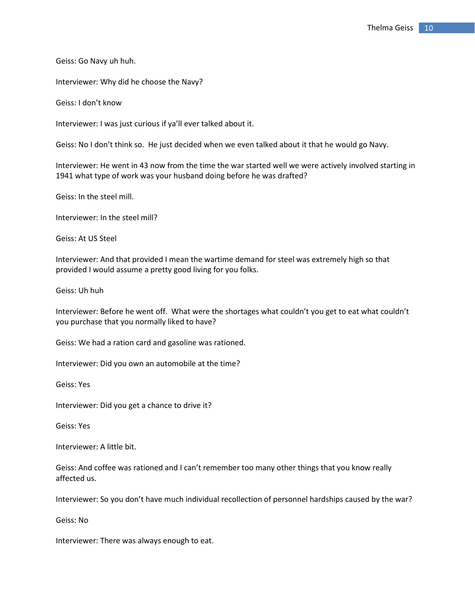Geiss: Go Navy uh huh.

Interviewer: Why did he choose the Navy?

Geiss: I don't know

Interviewer: I was just curious if ya'll ever talked about it.

Geiss: No I don't think so. He just decided when we even talked about it that he would go Navy.

Interviewer: He went in 43 now from the time the war started well we were actively involved starting in 1941 what type of work was your husband doing before he was drafted?

Geiss: In the steel mill.

Interviewer: In the steel mill?

Geiss: At US Steel

Interviewer: And that provided I mean the wartime demand for steel was extremely high so that provided I would assume a pretty good living for you folks.

Geiss: Uh huh

Interviewer: Before he went off. What were the shortages what couldn't you get to eat what couldn't you purchase that you normally liked to have?

Geiss: We had a ration card and gasoline was rationed.

Interviewer: Did you own an automobile at the time?

Geiss: Yes

Interviewer: Did you get a chance to drive it?

Geiss: Yes

Interviewer: A little bit.

Geiss: And coffee was rationed and I can't remember too many other things that you know really affected us.

Interviewer: So you don't have much individual recollection of personnel hardships caused by the war?

Geiss: No

Interviewer: There was always enough to eat.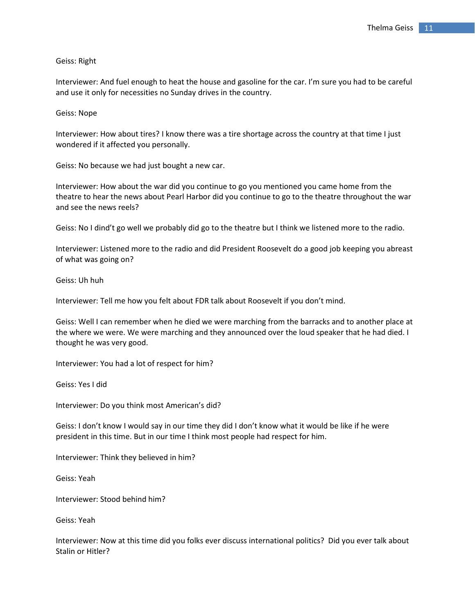Geiss: Right

Interviewer: And fuel enough to heat the house and gasoline for the car. I'm sure you had to be careful and use it only for necessities no Sunday drives in the country.

Geiss: Nope

Interviewer: How about tires? I know there was a tire shortage across the country at that time I just wondered if it affected you personally.

Geiss: No because we had just bought a new car.

Interviewer: How about the war did you continue to go you mentioned you came home from the theatre to hear the news about Pearl Harbor did you continue to go to the theatre throughout the war and see the news reels?

Geiss: No I dind't go well we probably did go to the theatre but I think we listened more to the radio.

Interviewer: Listened more to the radio and did President Roosevelt do a good job keeping you abreast of what was going on?

Geiss: Uh huh

Interviewer: Tell me how you felt about FDR talk about Roosevelt if you don't mind.

Geiss: Well I can remember when he died we were marching from the barracks and to another place at the where we were. We were marching and they announced over the loud speaker that he had died. I thought he was very good.

Interviewer: You had a lot of respect for him?

Geiss: Yes I did

Interviewer: Do you think most American's did?

Geiss: I don't know I would say in our time they did I don't know what it would be like if he were president in this time. But in our time I think most people had respect for him.

Interviewer: Think they believed in him?

Geiss: Yeah

Interviewer: Stood behind him?

Geiss: Yeah

Interviewer: Now at this time did you folks ever discuss international politics? Did you ever talk about Stalin or Hitler?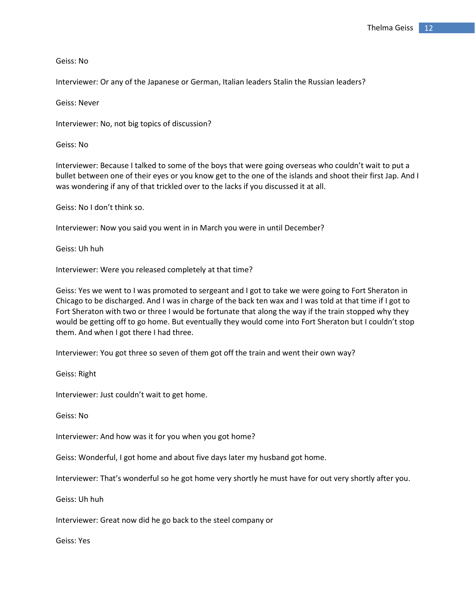Geiss: No

Interviewer: Or any of the Japanese or German, Italian leaders Stalin the Russian leaders?

Geiss: Never

Interviewer: No, not big topics of discussion?

Geiss: No

Interviewer: Because I talked to some of the boys that were going overseas who couldn't wait to put a bullet between one of their eyes or you know get to the one of the islands and shoot their first Jap. And I was wondering if any of that trickled over to the lacks if you discussed it at all.

Geiss: No I don't think so.

Interviewer: Now you said you went in in March you were in until December?

Geiss: Uh huh

Interviewer: Were you released completely at that time?

Geiss: Yes we went to I was promoted to sergeant and I got to take we were going to Fort Sheraton in Chicago to be discharged. And I was in charge of the back ten wax and I was told at that time if I got to Fort Sheraton with two or three I would be fortunate that along the way if the train stopped why they would be getting off to go home. But eventually they would come into Fort Sheraton but I couldn't stop them. And when I got there I had three.

Interviewer: You got three so seven of them got off the train and went their own way?

Geiss: Right

Interviewer: Just couldn't wait to get home.

Geiss: No

Interviewer: And how was it for you when you got home?

Geiss: Wonderful, I got home and about five days later my husband got home.

Interviewer: That's wonderful so he got home very shortly he must have for out very shortly after you.

Geiss: Uh huh

Interviewer: Great now did he go back to the steel company or

Geiss: Yes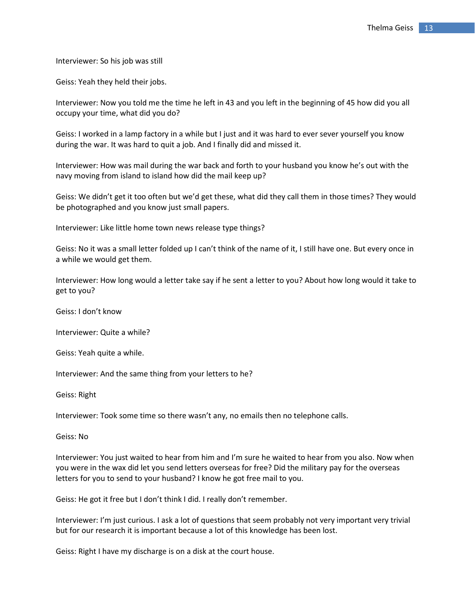Interviewer: So his job was still

Geiss: Yeah they held their jobs.

Interviewer: Now you told me the time he left in 43 and you left in the beginning of 45 how did you all occupy your time, what did you do?

Geiss: I worked in a lamp factory in a while but I just and it was hard to ever sever yourself you know during the war. It was hard to quit a job. And I finally did and missed it.

Interviewer: How was mail during the war back and forth to your husband you know he's out with the navy moving from island to island how did the mail keep up?

Geiss: We didn't get it too often but we'd get these, what did they call them in those times? They would be photographed and you know just small papers.

Interviewer: Like little home town news release type things?

Geiss: No it was a small letter folded up I can't think of the name of it, I still have one. But every once in a while we would get them.

Interviewer: How long would a letter take say if he sent a letter to you? About how long would it take to get to you?

Geiss: I don't know

Interviewer: Quite a while?

Geiss: Yeah quite a while.

Interviewer: And the same thing from your letters to he?

Geiss: Right

Interviewer: Took some time so there wasn't any, no emails then no telephone calls.

Geiss: No

Interviewer: You just waited to hear from him and I'm sure he waited to hear from you also. Now when you were in the wax did let you send letters overseas for free? Did the military pay for the overseas letters for you to send to your husband? I know he got free mail to you.

Geiss: He got it free but I don't think I did. I really don't remember.

Interviewer: I'm just curious. I ask a lot of questions that seem probably not very important very trivial but for our research it is important because a lot of this knowledge has been lost.

Geiss: Right I have my discharge is on a disk at the court house.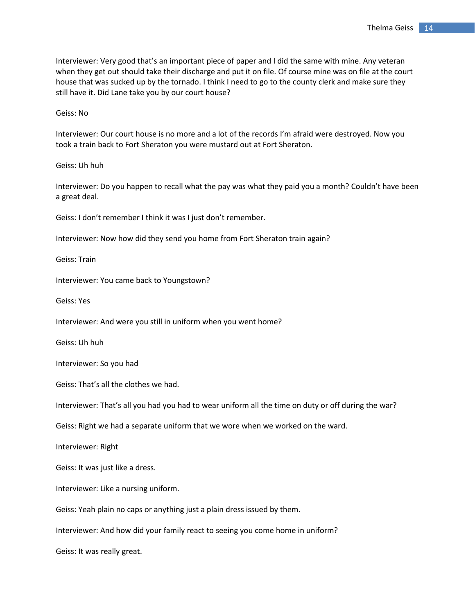Interviewer: Very good that's an important piece of paper and I did the same with mine. Any veteran when they get out should take their discharge and put it on file. Of course mine was on file at the court house that was sucked up by the tornado. I think I need to go to the county clerk and make sure they still have it. Did Lane take you by our court house?

Geiss: No

Interviewer: Our court house is no more and a lot of the records I'm afraid were destroyed. Now you took a train back to Fort Sheraton you were mustard out at Fort Sheraton.

Geiss: Uh huh

Interviewer: Do you happen to recall what the pay was what they paid you a month? Couldn't have been a great deal.

Geiss: I don't remember I think it was I just don't remember.

Interviewer: Now how did they send you home from Fort Sheraton train again?

Geiss: Train

Interviewer: You came back to Youngstown?

Geiss: Yes

Interviewer: And were you still in uniform when you went home?

Geiss: Uh huh

Interviewer: So you had

Geiss: That's all the clothes we had.

Interviewer: That's all you had you had to wear uniform all the time on duty or off during the war?

Geiss: Right we had a separate uniform that we wore when we worked on the ward.

Interviewer: Right

Geiss: It was just like a dress.

Interviewer: Like a nursing uniform.

Geiss: Yeah plain no caps or anything just a plain dress issued by them.

Interviewer: And how did your family react to seeing you come home in uniform?

Geiss: It was really great.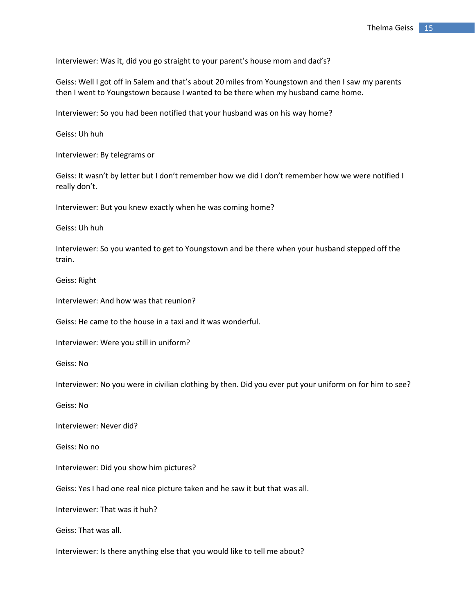Interviewer: Was it, did you go straight to your parent's house mom and dad's?

Geiss: Well I got off in Salem and that's about 20 miles from Youngstown and then I saw my parents then I went to Youngstown because I wanted to be there when my husband came home.

Interviewer: So you had been notified that your husband was on his way home?

Geiss: Uh huh

Interviewer: By telegrams or

Geiss: It wasn't by letter but I don't remember how we did I don't remember how we were notified I really don't.

Interviewer: But you knew exactly when he was coming home?

Geiss: Uh huh

Interviewer: So you wanted to get to Youngstown and be there when your husband stepped off the train.

Geiss: Right

Interviewer: And how was that reunion?

Geiss: He came to the house in a taxi and it was wonderful.

Interviewer: Were you still in uniform?

Geiss: No

Interviewer: No you were in civilian clothing by then. Did you ever put your uniform on for him to see?

Geiss: No

Interviewer: Never did?

Geiss: No no

Interviewer: Did you show him pictures?

Geiss: Yes I had one real nice picture taken and he saw it but that was all.

Interviewer: That was it huh?

Geiss: That was all.

Interviewer: Is there anything else that you would like to tell me about?